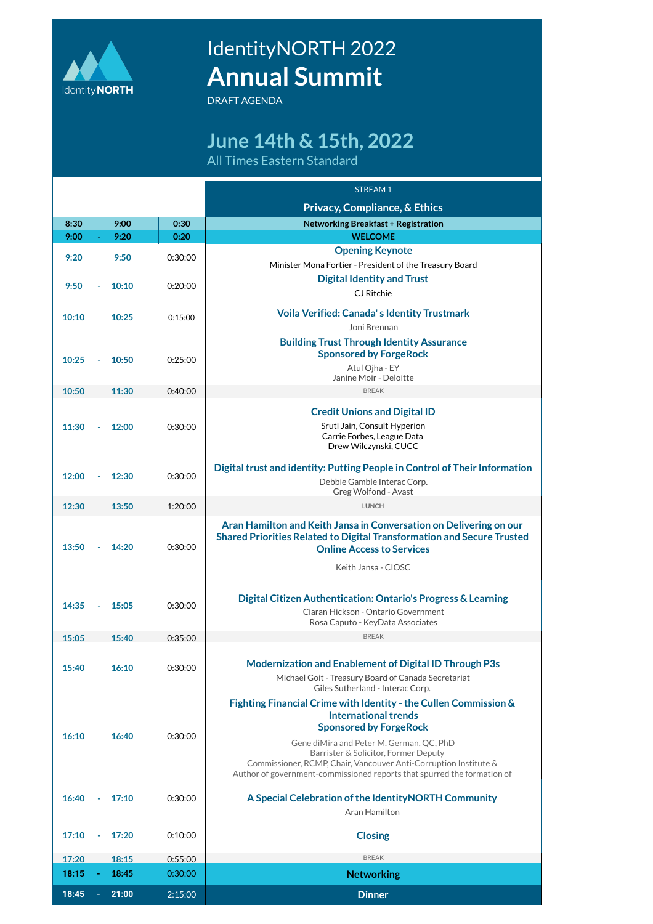

## IdentityNORTH 2022 **Annual Summit**

DRAFT AGENDA

## **June 14th & 15th, 2022**

All Times Eastern Standard

|       |             |         | <b>STREAM1</b>                                                                                       |  |  |  |
|-------|-------------|---------|------------------------------------------------------------------------------------------------------|--|--|--|
|       |             |         | <b>Privacy, Compliance, &amp; Ethics</b>                                                             |  |  |  |
| 8:30  | 9:00        | 0:30    | <b>Networking Breakfast + Registration</b>                                                           |  |  |  |
| 9:00  | 9:20        | 0:20    | <b>WELCOME</b>                                                                                       |  |  |  |
| 9:20  | 9:50        | 0:30:00 | <b>Opening Keynote</b>                                                                               |  |  |  |
|       |             |         | Minister Mona Fortier - President of the Treasury Board<br><b>Digital Identity and Trust</b>         |  |  |  |
| 9:50  | 10:10       | 0:20:00 | CJ Ritchie                                                                                           |  |  |  |
| 10:10 | 10:25       | 0:15:00 | <b>Voila Verified: Canada's Identity Trustmark</b>                                                   |  |  |  |
|       |             |         | Joni Brennan                                                                                         |  |  |  |
|       |             |         | <b>Building Trust Through Identity Assurance</b><br><b>Sponsored by ForgeRock</b>                    |  |  |  |
| 10:25 | 10:50       | 0:25:00 | Atul Ojha - EY                                                                                       |  |  |  |
|       |             |         | Janine Moir - Deloitte                                                                               |  |  |  |
| 10:50 | 11:30       | 0:40:00 | <b>BREAK</b>                                                                                         |  |  |  |
|       |             |         | <b>Credit Unions and Digital ID</b>                                                                  |  |  |  |
| 11:30 | 12:00       | 0:30:00 | Sruti Jain, Consult Hyperion<br>Carrie Forbes, League Data                                           |  |  |  |
|       |             |         | Drew Wilczynski, CUCC                                                                                |  |  |  |
|       |             |         | Digital trust and identity: Putting People in Control of Their Information                           |  |  |  |
| 12:00 | 12:30       | 0:30:00 | Debbie Gamble Interac Corp.                                                                          |  |  |  |
| 12:30 | 13:50       | 1:20:00 | Greg Wolfond - Avast<br><b>LUNCH</b>                                                                 |  |  |  |
|       |             |         | Aran Hamilton and Keith Jansa in Conversation on Delivering on our                                   |  |  |  |
|       |             |         | Shared Priorities Related to Digital Transformation and Secure Trusted                               |  |  |  |
| 13:50 | 14:20       | 0:30:00 | <b>Online Access to Services</b>                                                                     |  |  |  |
|       |             |         | Keith Jansa - CIOSC                                                                                  |  |  |  |
|       |             |         | Digital Citizen Authentication: Ontario's Progress & Learning                                        |  |  |  |
| 14:35 | 15:05<br>÷, | 0:30:00 | Ciaran Hickson - Ontario Government                                                                  |  |  |  |
|       |             |         | Rosa Caputo - KeyData Associates                                                                     |  |  |  |
| 15:05 | 15:40       | 0:35:00 | <b>BREAK</b>                                                                                         |  |  |  |
| 15:40 | 16:10       | 0:30:00 | <b>Modernization and Enablement of Digital ID Through P3s</b>                                        |  |  |  |
|       |             |         | Michael Goit - Treasury Board of Canada Secretariat                                                  |  |  |  |
|       |             |         | Giles Sutherland - Interac Corp.<br>Fighting Financial Crime with Identity - the Cullen Commission & |  |  |  |
|       |             |         | International trends                                                                                 |  |  |  |
| 16:10 | 16:40       | 0:30:00 | <b>Sponsored by ForgeRock</b>                                                                        |  |  |  |
|       |             |         | Gene diMira and Peter M. German, QC, PhD<br>Barrister & Solicitor, Former Deputy                     |  |  |  |
|       |             |         | Commissioner, RCMP, Chair, Vancouver Anti-Corruption Institute &                                     |  |  |  |
|       |             |         | Author of government-commissioned reports that spurred the formation of                              |  |  |  |
| 16:40 | 17:10       | 0:30:00 | A Special Celebration of the Identity NORTH Community                                                |  |  |  |
|       |             |         | Aran Hamilton                                                                                        |  |  |  |
| 17:10 | 17:20       | 0:10:00 | <b>Closing</b>                                                                                       |  |  |  |
| 17:20 | 18:15       | 0:55:00 | <b>BREAK</b>                                                                                         |  |  |  |
| 18:15 | 18:45       | 0:30:00 | <b>Networking</b>                                                                                    |  |  |  |
| 18:45 | 21:00       | 2:15:00 | <b>Dinner</b>                                                                                        |  |  |  |